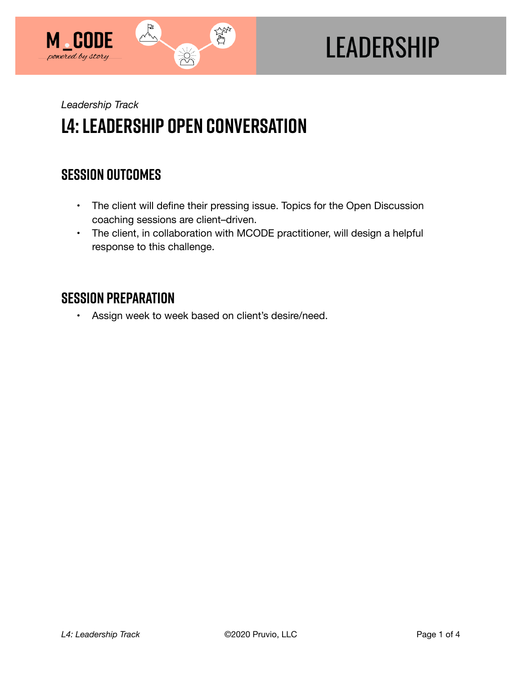

# **LEADERSHIP**

*Leadership Track* 

## **L4: Leadership Open Conversation**

## **SESSION OUTCOMES**

- The client will define their pressing issue. Topics for the Open Discussion coaching sessions are client–driven.
- The client, in collaboration with MCODE practitioner, will design a helpful response to this challenge.

### **SESSION PREPARATION**

• Assign week to week based on client's desire/need.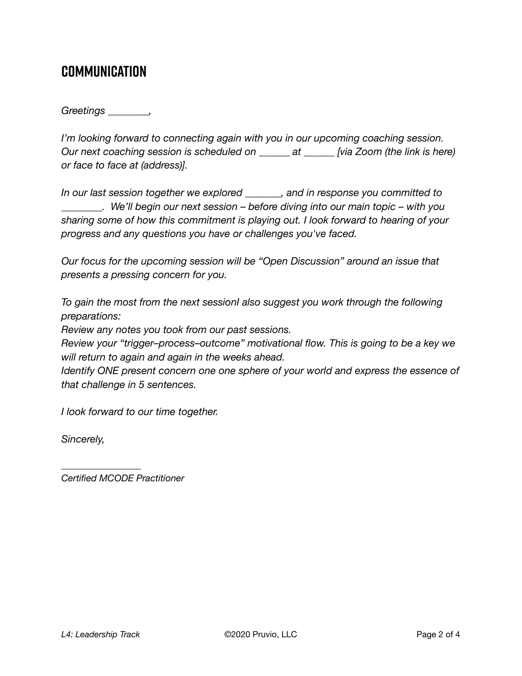### **COMMUNICATION**

*Greetings \_\_\_\_\_\_\_\_,* 

*I'm looking forward to connecting again with you in our upcoming coaching session. Our next coaching session is scheduled on \_\_\_\_\_\_ at \_\_\_\_\_\_ [via Zoom (the link is here) or face to face at (address)].* 

*In our last session together we explored \_\_\_\_\_\_\_, and in response you committed to \_\_\_\_\_\_\_\_. We'll begin our next session – before diving into our main topic – with you sharing some of how this commitment is playing out. I look forward to hearing of your progress and any questions you have or challenges you've faced.* 

*Our focus for the upcoming session will be "Open Discussion" around an issue that presents a pressing concern for you.* 

*To gain the most from the next sessionI also suggest you work through the following preparations:* 

*Review any notes you took from our past sessions.* 

*Review your "trigger–process–outcome" motivational flow. This is going to be a key we will return to again and again in the weeks ahead.* 

*Identify ONE present concern one one sphere of your world and express the essence of that challenge in 5 sentences.* 

*I look forward to our time together.* 

*Sincerely,* 

*Certified MCODE Practitioner*

*\_\_\_\_\_\_\_\_\_\_\_\_\_\_\_\_\_*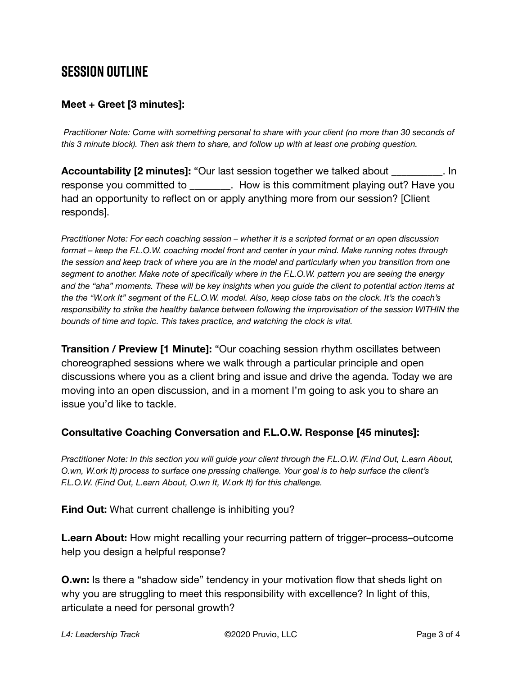## **SESSION OUTLINE**

#### **Meet + Greet [3 minutes]:**

 *Practitioner Note: Come with something personal to share with your client (no more than 30 seconds of this 3 minute block). Then ask them to share, and follow up with at least one probing question.* 

**Accountability [2 minutes]:** "Our last session together we talked about \_\_\_\_\_\_\_\_\_\_. In response you committed to \_\_\_\_\_\_\_\_. How is this commitment playing out? Have you had an opportunity to reflect on or apply anything more from our session? [Client responds].

*Practitioner Note: For each coaching session – whether it is a scripted format or an open discussion format – keep the F.L.O.W. coaching model front and center in your mind. Make running notes through the session and keep track of where you are in the model and particularly when you transition from one segment to another. Make note of specifically where in the F.L.O.W. pattern you are seeing the energy and the "aha" moments. These will be key insights when you guide the client to potential action items at the the "W.ork It" segment of the F.L.O.W. model. Also, keep close tabs on the clock. It's the coach's responsibility to strike the healthy balance between following the improvisation of the session WITHIN the bounds of time and topic. This takes practice, and watching the clock is vital.*

**Transition / Preview [1 Minute]:** "Our coaching session rhythm oscillates between choreographed sessions where we walk through a particular principle and open discussions where you as a client bring and issue and drive the agenda. Today we are moving into an open discussion, and in a moment I'm going to ask you to share an issue you'd like to tackle.

#### **Consultative Coaching Conversation and F.L.O.W. Response [45 minutes]:**

*Practitioner Note: In this section you will guide your client through the F.L.O.W. (F.ind Out, L.earn About, O.wn, W.ork It) process to surface one pressing challenge. Your goal is to help surface the client's F.L.O.W. (F.ind Out, L.earn About, O.wn It, W.ork It) for this challenge.*

**F.ind Out:** What current challenge is inhibiting you?

**L.earn About:** How might recalling your recurring pattern of trigger–process–outcome help you design a helpful response?

**O.wn:** Is there a "shadow side" tendency in your motivation flow that sheds light on why you are struggling to meet this responsibility with excellence? In light of this, articulate a need for personal growth?